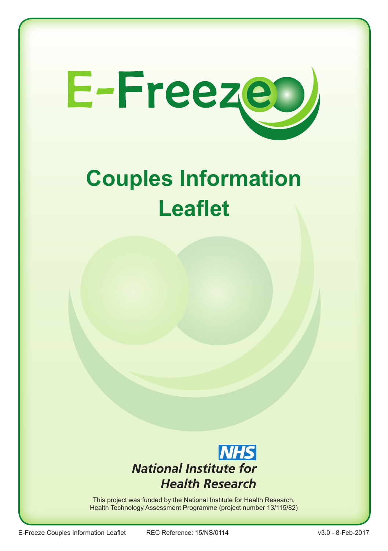

# **Couples Information Leaflet**



This project was funded by the National Institute for Health Research, Health Technology Assessment Programme (project number 13/115/82)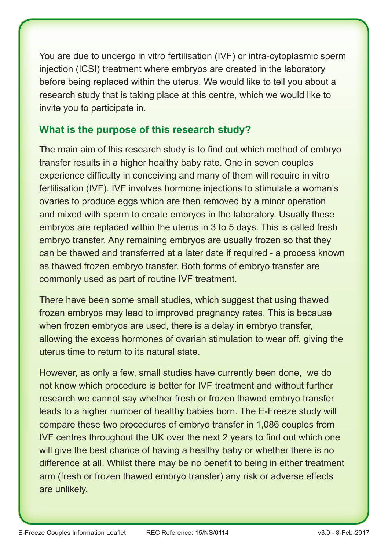You are due to undergo in vitro fertilisation (IVF) or intra-cytoplasmic sperm injection (ICSI) treatment where embryos are created in the laboratory before being replaced within the uterus. We would like to tell you about a research study that is taking place at this centre, which we would like to invite you to participate in.

#### **What is the purpose of this research study?**

The main aim of this research study is to find out which method of embryo transfer results in a higher healthy baby rate. One in seven couples experience difficulty in conceiving and many of them will require in vitro fertilisation (IVF). IVF involves hormone injections to stimulate a woman's ovaries to produce eggs which are then removed by a minor operation and mixed with sperm to create embryos in the laboratory. Usually these embryos are replaced within the uterus in 3 to 5 days. This is called fresh embryo transfer. Any remaining embryos are usually frozen so that they can be thawed and transferred at a later date if required - a process known as thawed frozen embryo transfer. Both forms of embryo transfer are commonly used as part of routine IVF treatment.

There have been some small studies, which suggest that using thawed frozen embryos may lead to improved pregnancy rates. This is because when frozen embryos are used, there is a delay in embryo transfer, allowing the excess hormones of ovarian stimulation to wear off, giving the uterus time to return to its natural state.

However, as only a few, small studies have currently been done, we do not know which procedure is better for IVF treatment and without further research we cannot say whether fresh or frozen thawed embryo transfer leads to a higher number of healthy babies born. The E-Freeze study will compare these two procedures of embryo transfer in 1,086 couples from IVF centres throughout the UK over the next 2 years to find out which one will give the best chance of having a healthy baby or whether there is no difference at all. Whilst there may be no benefit to being in either treatment arm (fresh or frozen thawed embryo transfer) any risk or adverse effects are unlikely.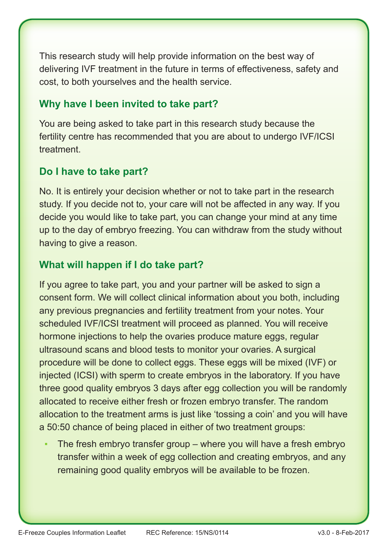This research study will help provide information on the best way of delivering IVF treatment in the future in terms of effectiveness, safety and cost, to both yourselves and the health service.

## **Why have I been invited to take part?**

You are being asked to take part in this research study because the fertility centre has recommended that you are about to undergo IVF/ICSI treatment.

# **Do I have to take part?**

No. It is entirely your decision whether or not to take part in the research study. If you decide not to, your care will not be affected in any way. If you decide you would like to take part, you can change your mind at any time up to the day of embryo freezing. You can withdraw from the study without having to give a reason.

## **What will happen if I do take part?**

If you agree to take part, you and your partner will be asked to sign a consent form. We will collect clinical information about you both, including any previous pregnancies and fertility treatment from your notes. Your scheduled IVF/ICSI treatment will proceed as planned. You will receive hormone injections to help the ovaries produce mature eggs, regular ultrasound scans and blood tests to monitor your ovaries. A surgical procedure will be done to collect eggs. These eggs will be mixed (IVF) or injected (ICSI) with sperm to create embryos in the laboratory. If you have three good quality embryos 3 days after egg collection you will be randomly allocated to receive either fresh or frozen embryo transfer. The random allocation to the treatment arms is just like 'tossing a coin' and you will have a 50:50 chance of being placed in either of two treatment groups:

The fresh embryo transfer group  $-$  where you will have a fresh embryo transfer within a week of egg collection and creating embryos, and any remaining good quality embryos will be available to be frozen.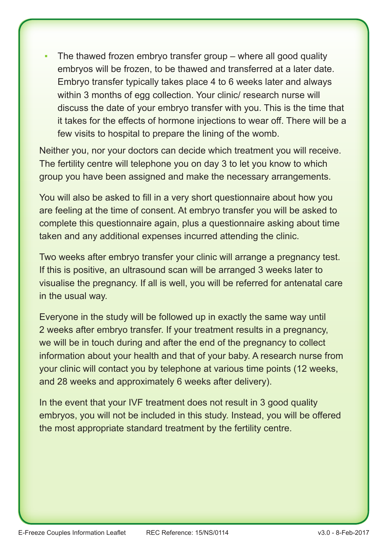The thawed frozen embryo transfer group  $-$  where all good quality embryos will be frozen, to be thawed and transferred at a later date. Embryo transfer typically takes place 4 to 6 weeks later and always within 3 months of egg collection. Your clinic/ research nurse will discuss the date of your embryo transfer with you. This is the time that it takes for the effects of hormone injections to wear off. There will be a few visits to hospital to prepare the lining of the womb.

Neither you, nor your doctors can decide which treatment you will receive. The fertility centre will telephone you on day 3 to let you know to which group you have been assigned and make the necessary arrangements.

You will also be asked to fill in a very short questionnaire about how you are feeling at the time of consent. At embryo transfer you will be asked to complete this questionnaire again, plus a questionnaire asking about time taken and any additional expenses incurred attending the clinic.

Two weeks after embryo transfer your clinic will arrange a pregnancy test. If this is positive, an ultrasound scan will be arranged 3 weeks later to visualise the pregnancy. If all is well, you will be referred for antenatal care in the usual way.

Everyone in the study will be followed up in exactly the same way until 2 weeks after embryo transfer. If your treatment results in a pregnancy, we will be in touch during and after the end of the pregnancy to collect information about your health and that of your baby. A research nurse from your clinic will contact you by telephone at various time points (12 weeks, and 28 weeks and approximately 6 weeks after delivery).

In the event that your IVF treatment does not result in 3 good quality embryos, you will not be included in this study. Instead, you will be offered the most appropriate standard treatment by the fertility centre.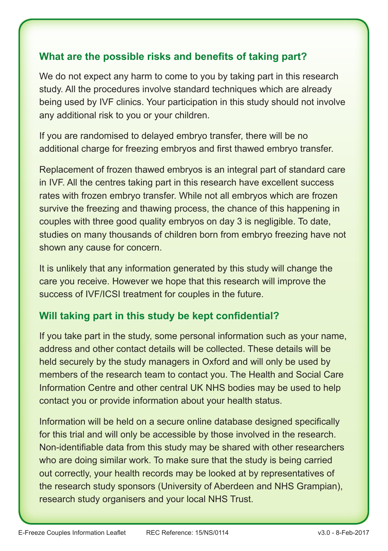#### **What are the possible risks and benefits of taking part?**

We do not expect any harm to come to you by taking part in this research study. All the procedures involve standard techniques which are already being used by IVF clinics. Your participation in this study should not involve any additional risk to you or your children.

If you are randomised to delayed embryo transfer, there will be no additional charge for freezing embryos and first thawed embryo transfer.

Replacement of frozen thawed embryos is an integral part of standard care in IVF. All the centres taking part in this research have excellent success rates with frozen embryo transfer. While not all embryos which are frozen survive the freezing and thawing process, the chance of this happening in couples with three good quality embryos on day 3 is negligible. To date, studies on many thousands of children born from embryo freezing have not shown any cause for concern.

It is unlikely that any information generated by this study will change the care you receive. However we hope that this research will improve the success of IVF/ICSI treatment for couples in the future.

## **Will taking part in this study be kept confidential?**

If you take part in the study, some personal information such as your name, address and other contact details will be collected. These details will be held securely by the study managers in Oxford and will only be used by members of the research team to contact you. The Health and Social Care Information Centre and other central UK NHS bodies may be used to help contact you or provide information about your health status.

Information will be held on a secure online database designed specifically for this trial and will only be accessible by those involved in the research. Non-identifiable data from this study may be shared with other researchers who are doing similar work. To make sure that the study is being carried out correctly, your health records may be looked at by representatives of the research study sponsors (University of Aberdeen and NHS Grampian), research study organisers and your local NHS Trust.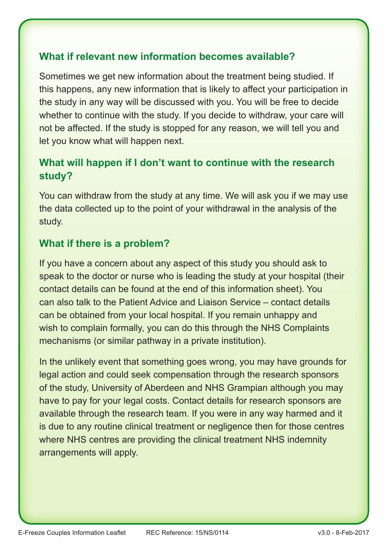#### **What if relevant new information becomes available?**

Sometimes we get new information about the treatment being studied. If this happens, any new information that is likely to affect your participation in the study in any way will be discussed with you. You will be free to decide whether to continue with the study. If you decide to withdraw, your care will not be affected. If the study is stopped for any reason, we will tell you and let you know what will happen next.

# **What will happen if I don't want to continue with the research study?**

You can withdraw from the study at any time. We will ask you if we may use the data collected up to the point of your withdrawal in the analysis of the study.

#### **What if there is a problem?**

If you have a concern about any aspect of this study you should ask to speak to the doctor or nurse who is leading the study at your hospital (their contact details can be found at the end of this information sheet). You can also talk to the Patient Advice and Liaison Service – contact details can be obtained from your local hospital. If you remain unhappy and wish to complain formally, you can do this through the NHS Complaints mechanisms (or similar pathway in a private institution).

In the unlikely event that something goes wrong, you may have grounds for legal action and could seek compensation through the research sponsors of the study, University of Aberdeen and NHS Grampian although you may have to pay for your legal costs. Contact details for research sponsors are available through the research team. If you were in any way harmed and it is due to any routine clinical treatment or negligence then for those centres where NHS centres are providing the clinical treatment NHS indemnity arrangements will apply.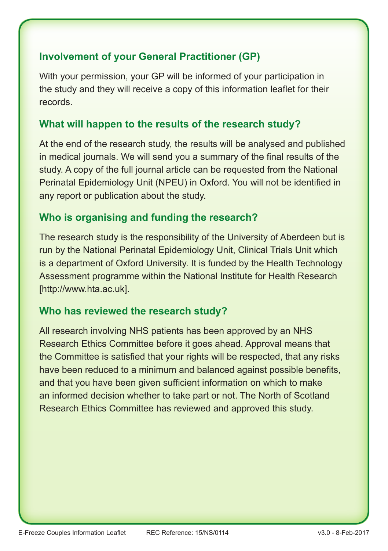## **Involvement of your General Practitioner (GP)**

With your permission, your GP will be informed of your participation in the study and they will receive a copy of this information leaflet for their records.

#### **What will happen to the results of the research study?**

At the end of the research study, the results will be analysed and published in medical journals. We will send you a summary of the final results of the study. A copy of the full journal article can be requested from the National Perinatal Epidemiology Unit (NPEU) in Oxford. You will not be identified in any report or publication about the study.

#### **Who is organising and funding the research?**

The research study is the responsibility of the University of Aberdeen but is run by the National Perinatal Epidemiology Unit, Clinical Trials Unit which is a department of Oxford University. It is funded by the Health Technology Assessment programme within the National Institute for Health Research [http://www.hta.ac.uk].

#### **Who has reviewed the research study?**

All research involving NHS patients has been approved by an NHS Research Ethics Committee before it goes ahead. Approval means that the Committee is satisfied that your rights will be respected, that any risks have been reduced to a minimum and balanced against possible benefits, and that you have been given sufficient information on which to make an informed decision whether to take part or not. The North of Scotland Research Ethics Committee has reviewed and approved this study.